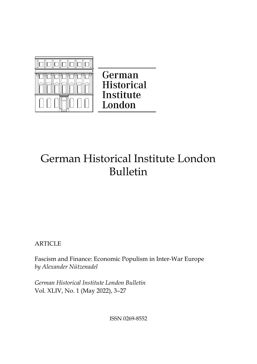

German **Historical** Institute London

# German Historical Institute London Bulletin

**ARTICLE** 

Fascism and Finance: Economic Populism in Inter-War Europe *by Alexander Nützenadel*

*German Historical Institute London Bulletin*  Vol. XLIV, No. 1 (May 2022), 3–27

ISSN 0269-8552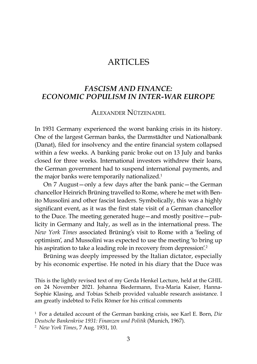# *FASCISM AND FINANCE: ECONOMIC POPULISM IN INTER-WAR EUROPE*

Alexander Nützenadel

In 1931 Germany experienced the worst banking crisis in its history. One of the largest German banks, the Darmstädter und Nationalbank (Danat), filed for insolvency and the entire financial system collapsed within a few weeks. A banking panic broke out on 13 July and banks closed for three weeks. International investors withdrew their loans, the German government had to suspend international payments, and the major banks were temporarily nationalized.<sup>1</sup>

On 7 August—only a few days after the bank panic—the German chancellor Heinrich Brüning travelled to Rome, where he met with Benito Mussolini and other fascist leaders. Symbolically, this was a highly significant event, as it was the first state visit of a German chancellor to the Duce. The meeting generated huge—and mostly positive—publicity in Germany and Italy, as well as in the international press. The *New York Times* associated Brüning's visit to Rome with a 'feeling of optimism', and Mussolini was expected to use the meeting 'to bring up his aspiration to take a leading role in recovery from depression'.<sup>2</sup>

Brüning was deeply impressed by the Italian dictator, especially by his economic expertise. He noted in his diary that the Duce was

This is the lightly revised text of my Gerda Henkel Lecture, held at the GHIL on 24 November 2021. Johanna Biedermann, Eva-Maria Kaiser, Hanna-Sophie Klasing, and Tobias Scheib provided valuable research assistance. I am greatly indebted to Felix Römer for his critical comments

<sup>1</sup> For a detailed account of the German banking crisis, see Karl E. Born, *Die Deutsche Bankenkrise 1931: Finanzen und Politik* (Munich, 1967). <sup>2</sup> *New York Times*, 7 Aug. 1931, 10.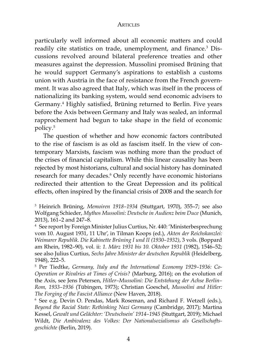particularly well informed about all economic matters and could readily cite statistics on trade, unemployment, and finance.3 Discussions revolved around bilateral preference treaties and other measures against the depression. Mussolini promised Brüning that he would support Germany's aspirations to establish a customs union with Austria in the face of resistance from the French government. It was also agreed that Italy, which was itself in the process of nationalizing its banking system, would send economic advisers to Germany.4 Highly satisfied, Brüning returned to Berlin. Five years before the Axis between Germany and Italy was sealed, an informal rapprochement had begun to take shape in the field of economic policy.5

The question of whether and how economic factors contributed to the rise of fascism is as old as fascism itself. In the view of contemporary Marxists, fascism was nothing more than the product of the crises of financial capitalism. While this linear causality has been rejected by most historians, cultural and social history has dominated research for many decades.6 Only recently have economic historians redirected their attention to the Great Depression and its political effects, often inspired by the financial crisis of 2008 and the search for

<sup>3</sup> Heinrich Brüning, *Memoiren 1918–1934* (Stuttgart, 1970), 355–7; see also Wolfgang Schieder, *Mythos Mussolini: Deutsche in Audienz beim Duce* (Munich, 2013), 161–2 and 247–8.

<sup>4</sup> See report by Foreign Minister Julius Curtius, Nr. 440: 'Ministerbesprechung vom 10. August 1931, 11 Uhr', in Tilman Koops (ed.), *Akten der Reichskanzlei: Weimarer Republik. Die Kabinette Brüning I und II (1930–1932)*, 3 vols. (Boppard am Rhein, 1982–90), vol. ii: *1. März 1931 bis 10. Oktober 1931* (1982), 1546–52; see also Julius Curtius, *Sechs Jahre Minister der deutschen Republik* (Heidelberg, 1948), 222–5.

<sup>5</sup> Per Tiedtke, *Germany, Italy and the International Economy 1929–1936: Co-Operation or Rivalries at Times of Crisis?* (Marburg, 2016); on the evolution of the Axis, see Jens Petersen, *Hitler–Mussolini: Die Entstehung der Achse Berlin– Rom, 1933–1936* (Tübingen, 1973); Christian Goeschel, *Mussolini and Hitler: The Forging of the Fascist Alliance* (New Haven, 2018).

<sup>6</sup> See e.g. Devin O. Pendas, Mark Roseman, and Richard F. Wetzell (eds.), *Beyond the Racial State: Rethinking Nazi Germany* (Cambridge, 2017); Martina Kessel, *Gewalt und Gelächter: 'Deutschsein' 1914–1945* (Stuttgart, 2019); Michael Wildt, *Die Ambivalenz des Volkes: Der Nationalsozialismus als Gesellschaftsgeschichte* (Berlin, 2019).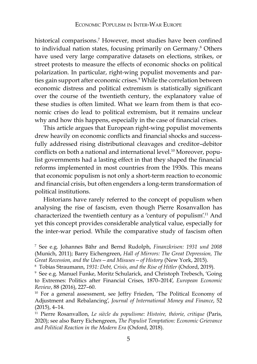historical comparisons.7 However, most studies have been confined to individual nation states, focusing primarily on Germany.8 Others have used very large comparative datasets on elections, strikes, or street protests to measure the effects of economic shocks on political polarization. In particular, right-wing populist movements and parties gain support after economic crises.9 While the correlation between economic distress and political extremism is statistically significant over the course of the twentieth century, the explanatory value of these studies is often limited. What we learn from them is that economic crises do lead to political extremism, but it remains unclear why and how this happens, especially in the case of financial crises.

This article argues that European right-wing populist movements drew heavily on economic conflicts and financial shocks and successfully addressed rising distributional cleavages and creditor–debitor conflicts on both a national and international level.<sup>10</sup> Moreover, populist governments had a lasting effect in that they shaped the financial reforms implemented in most countries from the 1930s. This means that economic populism is not only a short-term reaction to economic and financial crisis, but often engenders a long-term transformation of political institutions.

Historians have rarely referred to the concept of populism when analysing the rise of fascism, even though Pierre Rosanvallon has characterized the twentieth century as a 'century of populism'.11 And yet this concept provides considerable analytical value, especially for the inter-war period. While the comparative study of fascism often

<sup>7</sup> See e.g. Johannes Bähr and Bernd Rudolph, *Finanzkrisen: 1931 und 2008*  (Munich, 2011); Barry Eichengreen, *Hall of Mirrors: The Great Depression, The Great Recession, and the Uses—and Misuses—of History* (New York, 2015).

<sup>8</sup> Tobias Straumann, *1931: Debt, Crisis, and the Rise of Hitler* (Oxford, 2019).

<sup>9</sup> See e.g. Manuel Funke, Moritz Schularick, and Christoph Trebesch, 'Going to Extremes: Politics after Financial Crises, 1870–2014', *European Economic Review*, 88 (2016), 227–60.

<sup>&</sup>lt;sup>10</sup> For a general assessment, see Jeffry Frieden, 'The Political Economy of Adjustment and Rebalancing', *Journal of International Money and Finance*, 52 (2015), 4–14.

<sup>11</sup> Pierre Rosanvallon, *Le siècle du populisme: Histoire, théorie, critique* (Paris, 2020); see also Barry Eichengreen, *The Populist Temptation: Economic Grievance and Political Reaction in the Modern Era* (Oxford, 2018).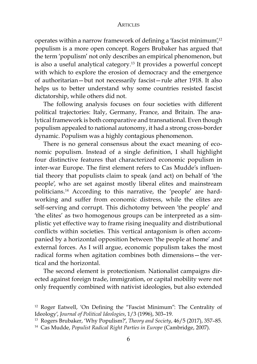operates within a narrow framework of defining a 'fascist minimum'<sup>12</sup> populism is a more open concept. Rogers Brubaker has argued that the term 'populism' not only describes an empirical phenomenon, but is also a useful analytical category.13 It provides a powerful concept with which to explore the erosion of democracy and the emergence of authoritarian—but not necessarily fascist—rule after 1918. It also helps us to better understand why some countries resisted fascist dictatorship, while others did not.

The following analysis focuses on four societies with different political trajectories: Italy, Germany, France, and Britain. The analytical framework is both comparative and transnational. Even though populism appealed to national autonomy, it had a strong cross-border dynamic. Populism was a highly contagious phenomenon.

There is no general consensus about the exact meaning of economic populism. Instead of a single definition, I shall highlight four distinctive features that characterized economic populism in inter-war Europe. The first element refers to Cas Mudde's influential theory that populists claim to speak (and act) on behalf of 'the people', who are set against mostly liberal elites and mainstream politicians.14 According to this narrative, the 'people' are hardworking and suffer from economic distress, while the elites are self-serving and corrupt. This dichotomy between 'the people' and 'the elites' as two homogenous groups can be interpreted as a simplistic yet effective way to frame rising inequality and distributional conflicts within societies. This vertical antagonism is often accompanied by a horizontal opposition between 'the people at home' and external forces. As I will argue, economic populism takes the most radical forms when agitation combines both dimensions—the vertical and the horizontal.

The second element is protectionism. Nationalist campaigns directed against foreign trade, immigration, or capital mobility were not only frequently combined with nativist ideologies, but also extended

<sup>12</sup> Roger Eatwell, 'On Defining the "Fascist Minimum": The Centrality of Ideology', *Journal of Political Ideologies*, 1/3 (1996), 303–19.

<sup>13</sup> Rogers Brubaker, 'Why Populism?', *Theory and Society*, 46/5 (2017), 357–85.

<sup>14</sup> Cas Mudde, *Populist Radical Right Parties in Europe* (Cambridge, 2007).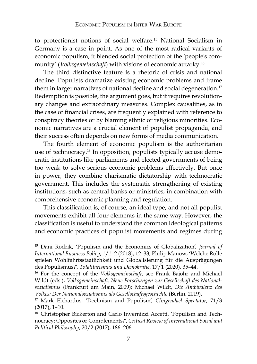to protectionist notions of social welfare.15 National Socialism in Germany is a case in point. As one of the most radical variants of economic populism, it blended social protection of the 'people's community' (*Volksgemeinschaft*) with visions of economic autarky.16

The third distinctive feature is a rhetoric of crisis and national decline. Populists dramatize existing economic problems and frame them in larger narratives of national decline and social degeneration.<sup>17</sup> Redemption is possible, the argument goes, but it requires revolutionary changes and extraordinary measures. Complex causalities, as in the case of financial crises, are frequently explained with reference to conspiracy theories or by blaming ethnic or religious minorities. Economic narratives are a crucial element of populist propaganda, and their success often depends on new forms of media communication.

The fourth element of economic populism is the authoritarian use of technocracy.18 In opposition, populists typically accuse democratic institutions like parliaments and elected governments of being too weak to solve serious economic problems effectively. But once in power, they combine charismatic dictatorship with technocratic government. This includes the systematic strengthening of existing institutions, such as central banks or ministries, in combination with comprehensive economic planning and regulation.

This classification is, of course, an ideal type, and not all populist movements exhibit all four elements in the same way. However, the classification is useful to understand the common ideological patterns and economic practices of populist movements and regimes during

<sup>15</sup> Dani Rodrik, 'Populism and the Economics of Globalization', *Journal of International Business Policy*, 1/1–2 (2018), 12–33; Philip Manow, 'Welche Rolle spielen Wohlfahrtsstaatlichkeit und Globalisierung für die Ausprägungen des Populismus?', *Totalitarismus und Demokratie*, 17/1 (2020), 35–44.

<sup>16</sup> For the concept of the *Volksgemeinschaft*, see Frank Bajohr and Michael Wildt (eds.), *Volksgemeinschaft: Neue Forschungen zur Gesellschaft des Nationalsozialismus* (Frankfurt am Main, 2009); Michael Wildt, *Die Ambivalenz des Volkes: Der Nationalsozialismus als Gesellschaftsgeschichte* (Berlin, 2019).

<sup>17</sup> Mark Elchardus, 'Declinism and Populism', *Clingendael Spectator*, 71/3 (2017), 1–10.

<sup>&</sup>lt;sup>18</sup> Christopher Bickerton and Carlo Invernizzi Accetti, 'Populism and Technocracy: Opposites or Complements?', *Critical Review of International Social and Political Philosophy*, 20/2 (2017), 186–206.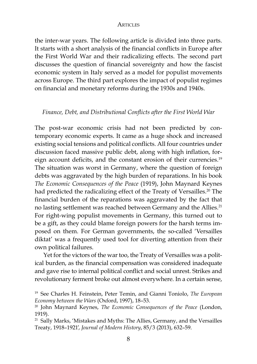the inter-war years. The following article is divided into three parts. It starts with a short analysis of the financial conflicts in Europe after the First World War and their radicalizing effects. The second part discusses the question of financial sovereignty and how the fascist economic system in Italy served as a model for populist movements across Europe. The third part explores the impact of populist regimes on financial and monetary reforms during the 1930s and 1940s.

## *Finance, Debt, and Distributional Conflicts after the First World War*

The post-war economic crisis had not been predicted by contemporary economic experts. It came as a huge shock and increased existing social tensions and political conflicts. All four countries under discussion faced massive public debt, along with high inflation, foreign account deficits, and the constant erosion of their currencies.<sup>19</sup> The situation was worst in Germany, where the question of foreign debts was aggravated by the high burden of reparations. In his book *The Economic Consequences of the Peace* (1919), John Maynard Keynes had predicted the radicalizing effect of the Treaty of Versailles.<sup>20</sup> The financial burden of the reparations was aggravated by the fact that no lasting settlement was reached between Germany and the Allies.<sup>21</sup> For right-wing populist movements in Germany, this turned out to be a gift, as they could blame foreign powers for the harsh terms imposed on them. For German governments, the so-called 'Versailles diktat' was a frequently used tool for diverting attention from their own political failures.

Yet for the victors of the war too, the Treaty of Versailles was a political burden, as the financial compensation was considered inadequate and gave rise to internal political conflict and social unrest. Strikes and revolutionary ferment broke out almost everywhere. In a certain sense,

<sup>19</sup> See Charles H. Feinstein, Peter Temin, and Gianni Toniolo, *The European Economy between the Wars* (Oxford, 1997), 18–53.

<sup>20</sup> John Maynard Keynes, *The Economic Consequences of the Peace* (London, 1919).

 $21$  Sally Marks, 'Mistakes and Myths: The Allies, Germany, and the Versailles Treaty, 1918–1921', *Journal of Modern History*, 85/3 (2013), 632–59.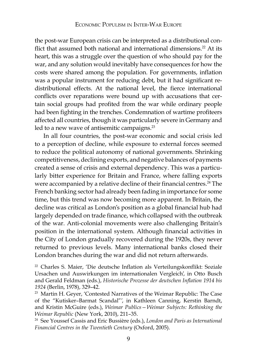the post-war European crisis can be interpreted as a distributional conflict that assumed both national and international dimensions.<sup>22</sup> At its heart, this was a struggle over the question of who should pay for the war, and any solution would inevitably have consequences for how the costs were shared among the population. For governments, inflation was a popular instrument for reducing debt, but it had significant redistributional effects. At the national level, the fierce international conflicts over reparations were bound up with accusations that certain social groups had profited from the war while ordinary people had been fighting in the trenches. Condemnation of wartime profiteers affected all countries, though it was particularly severe in Germany and led to a new wave of antisemitic campaigns.<sup>23</sup>

In all four countries, the post-war economic and social crisis led to a perception of decline, while exposure to external forces seemed to reduce the political autonomy of national governments. Shrinking competitiveness, declining exports, and negative balances of payments created a sense of crisis and external dependency. This was a particularly bitter experience for Britain and France, where falling exports were accompanied by a relative decline of their financial centres.<sup>24</sup> The French banking sector had already been fading in importance for some time, but this trend was now becoming more apparent. In Britain, the decline was critical as London's position as a global financial hub had largely depended on trade finance, which collapsed with the outbreak of the war. Anti-colonial movements were also challenging Britain's position in the international system. Although financial activities in the City of London gradually recovered during the 1920s, they never returned to previous levels. Many international banks closed their London branches during the war and did not return afterwards.

<sup>22</sup> Charles S. Maier, 'Die deutsche Inflation als Verteilungskonflikt: Soziale Ursachen und Auswirkungen im internationalen Vergleich', in Otto Busch and Gerald Feldman (eds.), *Historische Prozesse der deutschen Inflation 1914 bis 1924* (Berlin, 1978), 329–42.

<sup>&</sup>lt;sup>23</sup> Martin H. Geyer, 'Contested Narratives of the Weimar Republic: The Case of the "Kutisker–Barmat Scandal"', in Kathleen Canning, Kerstin Barndt, and Kristin McGuire (eds.), *Weimar Publics—Weimar Subjects: Rethinking the Weimar Republic* (New York, 2010), 211–35.<br><sup>24</sup> See Youssef Cassis and Eric Bussière (eds.), *London and Paris as International* 

*Financial Centres in the Twentieth Century* (Oxford, 2005).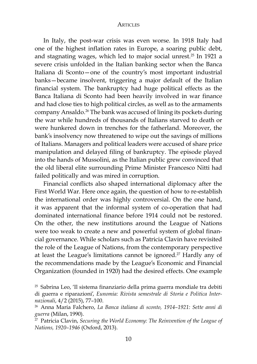In Italy, the post-war crisis was even worse. In 1918 Italy had one of the highest inflation rates in Europe, a soaring public debt, and stagnating wages, which led to major social unrest.25 In 1921 a severe crisis unfolded in the Italian banking sector when the Banca Italiana di Sconto—one of the country's most important industrial banks—became insolvent, triggering a major default of the Italian financial system. The bankruptcy had huge political effects as the Banca Italiana di Sconto had been heavily involved in war finance and had close ties to high political circles, as well as to the armaments company Ansaldo.<sup>26</sup> The bank was accused of lining its pockets during the war while hundreds of thousands of Italians starved to death or were hunkered down in trenches for the fatherland. Moreover, the bank's insolvency now threatened to wipe out the savings of millions of Italians. Managers and political leaders were accused of share price manipulation and delayed filing of bankruptcy. The episode played into the hands of Mussolini, as the Italian public grew convinced that the old liberal elite surrounding Prime Minister Francesco Nitti had failed politically and was mired in corruption.

Financial conflicts also shaped international diplomacy after the First World War. Here once again, the question of how to re-establish the international order was highly controversial. On the one hand, it was apparent that the informal system of co-operation that had dominated international finance before 1914 could not be restored. On the other, the new institutions around the League of Nations were too weak to create a new and powerful system of global financial governance. While scholars such as Patricia Clavin have revisited the role of the League of Nations, from the contemporary perspective at least the League's limitations cannot be ignored.<sup>27</sup> Hardly any of the recommendations made by the League's Economic and Financial Organization (founded in 1920) had the desired effects. One example

<sup>25</sup> Sabrina Leo, 'Il sistema finanziario della prima guerra mondiale tra debiti di guerra e riparazioni', *Eunomia: Rivista semestrale di Storia e Politica Internazionali*, 4/2 (2015), 77–100.

<sup>26</sup> Anna Maria Falchero, *La Banca italiana di sconto, 1914–1921: Sette anni di guerra* (Milan, 1990).

<sup>27</sup> Patricia Clavin, *Securing the World Economy: The Reinvention of the League of Nations, 1920–1946* (Oxford, 2013).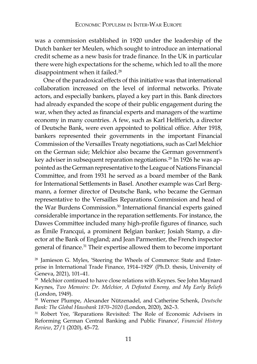was a commission established in 1920 under the leadership of the Dutch banker ter Meulen, which sought to introduce an international credit scheme as a new basis for trade finance. In the UK in particular there were high expectations for the scheme, which led to all the more disappointment when it failed.<sup>28</sup>

One of the paradoxical effects of this initiative was that international collaboration increased on the level of informal networks. Private actors, and especially bankers, played a key part in this. Bank directors had already expanded the scope of their public engagement during the war, when they acted as financial experts and managers of the wartime economy in many countries. A few, such as Karl Helfferich, a director of Deutsche Bank, were even appointed to political office. After 1918, bankers represented their governments in the important Financial Commission of the Versailles Treaty negotiations, such as Carl Melchior on the German side; Melchior also became the German government's key adviser in subsequent reparation negotiations.29 In 1926 he was appointed as the German representative to the League of Nations Financial Committee, and from 1931 he served as a board member of the Bank for International Settlements in Basel. Another example was Carl Bergmann, a former director of Deutsche Bank, who became the German representative to the Versailles Reparations Commission and head of the War Burdens Commission.<sup>30</sup> International financial experts gained considerable importance in the reparation settlements. For instance, the Dawes Committee included many high-profile figures of finance, such as Émile Francqui, a prominent Belgian banker; Josiah Stamp, a director at the Bank of England; and Jean Parmentier, the French inspector general of finance.31 Their expertise allowed them to become important

<sup>28</sup> Jamieson G. Myles, 'Steering the Wheels of Commerce: State and Enterprise in International Trade Finance, 1914–1929' (Ph.D. thesis, University of Geneva, 2021), 101–41.

<sup>31</sup> Robert Yee, 'Reparations Revisited: The Role of Economic Advisers in Reforming German Central Banking and Public Finance', *Financial History Review*, 27/1 (2020), 45–72.

<sup>&</sup>lt;sup>29</sup> Melchior continued to have close relations with Keynes. See John Maynard Keynes, *Two Memoirs: Dr. Melchior, A Defeated Enemy, and My Early Beliefs*  (London, 1949).

<sup>30</sup> Werner Plumpe, Alexander Nützenadel, and Catherine Schenk, *Deutsche Bank: The Global Hausbank 1870–2020* (London, 2020), 262–3.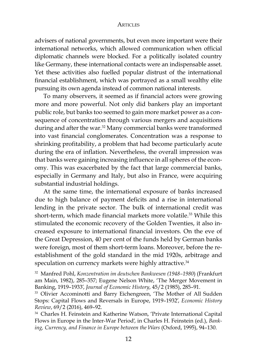advisers of national governments, but even more important were their international networks, which allowed communication when official diplomatic channels were blocked. For a politically isolated country like Germany, these international contacts were an indispensable asset. Yet these activities also fuelled popular distrust of the international financial establishment, which was portrayed as a small wealthy elite pursuing its own agenda instead of common national interests.

To many observers, it seemed as if financial actors were growing more and more powerful. Not only did bankers play an important public role, but banks too seemed to gain more market power as a consequence of concentration through various mergers and acquisitions during and after the war.<sup>32</sup> Many commercial banks were transformed into vast financial conglomerates. Concentration was a response to shrinking profitability, a problem that had become particularly acute during the era of inflation. Nevertheless, the overall impression was that banks were gaining increasing influence in all spheres of the economy. This was exacerbated by the fact that large commercial banks, especially in Germany and Italy, but also in France, were acquiring substantial industrial holdings.

At the same time, the international exposure of banks increased due to high balance of payment deficits and a rise in international lending in the private sector. The bulk of international credit was short-term, which made financial markets more volatile.<sup>33</sup> While this stimulated the economic recovery of the Golden Twenties, it also increased exposure to international financial investors. On the eve of the Great Depression, 40 per cent of the funds held by German banks were foreign, most of them short-term loans. Moreover, before the reestablishment of the gold standard in the mid 1920s, arbitrage and speculation on currency markets were highly attractive.<sup>34</sup>

<sup>32</sup> Manfred Pohl, *Konzentration im deutschen Bankwesen (1948–1980*) (Frankfurt am Main, 1982), 285–357; Eugene Nelson White, 'The Merger Movement in Banking, 1919–1933', *Journal of Economic History*, 45/2 (1985), 285–91.

<sup>33</sup> Olivier Accominotti and Barry Eichengreen, 'The Mother of All Sudden Stops: Capital Flows and Reversals in Europe, 1919–1932', *Economic History Review*, 69/2 (2016), 469–92.

<sup>34</sup> Charles H. Feinstein and Katherine Watson, 'Private International Capital Flows in Europe in the Inter-War Period', in Charles H. Feinstein (ed.), *Banking, Currency, and Finance in Europe between the Wars* (Oxford, 1995), 94–130.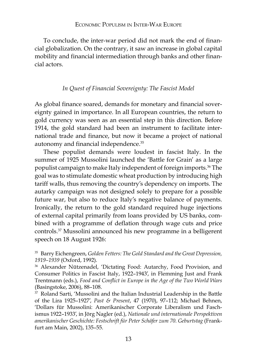To conclude, the inter-war period did not mark the end of financial globalization. On the contrary, it saw an increase in global capital mobility and financial intermediation through banks and other financial actors.

## *In Quest of Financial Sovereignty: The Fascist Model*

As global finance soared, demands for monetary and financial sovereignty gained in importance. In all European countries, the return to gold currency was seen as an essential step in this direction. Before 1914, the gold standard had been an instrument to facilitate international trade and finance, but now it became a project of national autonomy and financial independence.35

These populist demands were loudest in fascist Italy. In the summer of 1925 Mussolini launched the 'Battle for Grain' as a large populist campaign to make Italy independent of foreign imports.36 The goal was to stimulate domestic wheat production by introducing high tariff walls, thus removing the country's dependency on imports. The autarky campaign was not designed solely to prepare for a possible future war, but also to reduce Italy's negative balance of payments. Ironically, the return to the gold standard required huge injections of external capital primarily from loans provided by US banks, combined with a programme of deflation through wage cuts and price controls.37 Mussolini announced his new programme in a belligerent speech on 18 August 1926:

<sup>35</sup> Barry Eichengreen, *Golden Fetters: The Gold Standard and the Great Depression, 1919–1939* (Oxford, 1992).

<sup>36</sup> Alexander Nützenadel, 'Dictating Food: Autarchy, Food Provision, and Consumer Politics in Fascist Italy, 1922–1943', in Flemming Just and Frank Trentmann (eds.), *Food and Conflict in Europe in the Age of the Two World Wars* (Basingstoke, 2006), 88–108.

<sup>37</sup> Roland Sarti, 'Mussolini and the Italian Industrial Leadership in the Battle of the Lira 1925–1927', *Past & Present*, 47 (1970), 97–112; Michael Behnen, 'Dollars für Mussolini: Amerikanischer Corporate Liberalism und Faschismus 1922–1933', in Jörg Nagler (ed.), *Nationale und internationale Perspektiven amerikanischer Geschichte: Festschrift für Peter Schäfer zum 70. Geburtstag* (Frankfurt am Main, 2002), 135–55.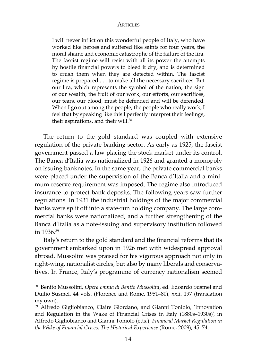I will never inflict on this wonderful people of Italy, who have worked like heroes and suffered like saints for four years, the moral shame and economic catastrophe of the failure of the lira. The fascist regime will resist with all its power the attempts by hostile financial powers to bleed it dry, and is determined to crush them when they are detected within. The fascist regime is prepared . . . to make all the necessary sacrifices. But our lira, which represents the symbol of the nation, the sign of our wealth, the fruit of our work, our efforts, our sacrifices, our tears, our blood, must be defended and will be defended. When I go out among the people, the people who really work, I feel that by speaking like this I perfectly interpret their feelings, their aspirations, and their will.<sup>38</sup>

The return to the gold standard was coupled with extensive regulation of the private banking sector. As early as 1925, the fascist government passed a law placing the stock market under its control. The Banca d'Italia was nationalized in 1926 and granted a monopoly on issuing banknotes. In the same year, the private commercial banks were placed under the supervision of the Banca d'Italia and a minimum reserve requirement was imposed. The regime also introduced insurance to protect bank deposits. The following years saw further regulations. In 1931 the industrial holdings of the major commercial banks were split off into a state-run holding company. The large commercial banks were nationalized, and a further strengthening of the Banca d'Italia as a note-issuing and supervisory institution followed in 1936.39

Italy's return to the gold standard and the financial reforms that its government embarked upon in 1926 met with widespread approval abroad. Mussolini was praised for his vigorous approach not only in right-wing, nationalist circles, but also by many liberals and conservatives. In France, Italy's programme of currency nationalism seemed

<sup>38</sup> Benito Mussolini, *Opera omnia di Benito Mussolini*, ed. Edoardo Susmel and Duilio Susmel, 44 vols. (Florence and Rome, 1951–80), xxii. 197 (translation my own).

<sup>39</sup> Alfredo Gigliobianco, Claire Giordano, and Gianni Toniolo, 'Innovation and Regulation in the Wake of Financial Crises in Italy (1880s–1930s)', in Alfredo Gigliobianco and Gianni Toniolo (eds.), *Financial Market Regulation in the Wake of Financial Crises: The Historical Experience* (Rome, 2009), 45–74.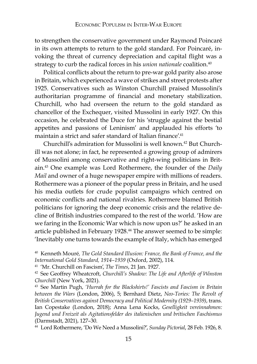to strengthen the conservative government under Raymond Poincaré in its own attempts to return to the gold standard. For Poincaré, invoking the threat of currency depreciation and capital flight was a strategy to curb the radical forces in his *union nationale* coalition.<sup>40</sup>

Political conflicts about the return to pre-war gold parity also arose in Britain, which experienced a wave of strikes and street protests after 1925. Conservatives such as Winston Churchill praised Mussolini's authoritarian programme of financial and monetary stabilization. Churchill, who had overseen the return to the gold standard as chancellor of the Exchequer, visited Mussolini in early 1927. On this occasion, he celebrated the Duce for his 'struggle against the bestial appetites and passions of Leninism' and applauded his efforts 'to maintain a strict and safer standard of Italian finance<sup>'.41</sup>

Churchill's admiration for Mussolini is well known.42 But Churchill was not alone; in fact, he represented a growing group of admirers of Mussolini among conservative and right-wing politicians in Britain.43 One example was Lord Rothermere, the founder of the *Daily Mail* and owner of a huge newspaper empire with millions of readers. Rothermere was a pioneer of the popular press in Britain, and he used his media outlets for crude populist campaigns which centred on economic conflicts and national rivalries. Rothermere blamed British politicians for ignoring the deep economic crisis and the relative decline of British industries compared to the rest of the world. 'How are we faring in the Economic War which is now upon us?' he asked in an article published in February 1928.44 The answer seemed to be simple: 'Inevitably one turns towards the example of Italy, which has emerged

<sup>40</sup> Kenneth Mouré*, The Gold Standard Illusion: France, the Bank of France, and the International Gold Standard, 1914–1939* (Oxford, 2002), 114.

<sup>41</sup> 'Mr. Churchill on Fascism', *The Times*, 21 Jan. 1927.

<sup>42</sup> See Geoffrey Wheatcroft, *Churchill's Shadow: The Life and Afterlife of Winston Churchill* (New York, 2021).

<sup>43</sup> See Martin Pugh, *'Hurrah for the Blackshirts!' Fascists and Fascism in Britain between the Wars* (London, 2006), 5; Bernhard Dietz, *Neo-Tories: The Revolt of British Conservatives against Democracy and Political Modernity (1929–1939)*, trans. Ian Copestake (London, 2018); Anna Lena Kocks, *Geselligkeit vereinnahmen: Jugend und Freizeit als Agitationsfelder des italienischen und britischen Faschismus* (Darmstadt, 2021), 127–30.

<sup>44</sup> Lord Rothermere, 'Do We Need a Mussolini?', *Sunday Pictorial*, 28 Feb. 1926, 8.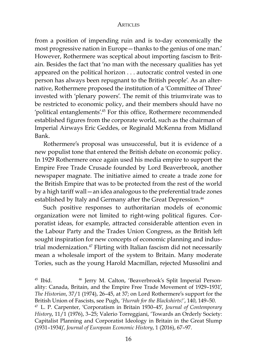from a position of impending ruin and is to-day economically the most progressive nation in Europe—thanks to the genius of one man.' However, Rothermere was sceptical about importing fascism to Britain. Besides the fact that 'no man with the necessary qualities has yet appeared on the political horizon . . . autocratic control vested in one person has always been repugnant to the British people'. As an alternative, Rothermere proposed the institution of a 'Committee of Three' invested with 'plenary powers'. The remit of this triumvirate was to be restricted to economic policy, and their members should have no 'political entanglements'.45 For this office, Rothermere recommended established figures from the corporate world, such as the chairman of Imperial Airways Eric Geddes, or Reginald McKenna from Midland Bank.

Rothermere's proposal was unsuccessful, but it is evidence of a new populist tone that entered the British debate on economic policy. In 1929 Rothermere once again used his media empire to support the Empire Free Trade Crusade founded by Lord Beaverbrook, another newspaper magnate. The initiative aimed to create a trade zone for the British Empire that was to be protected from the rest of the world by a high tariff wall—an idea analogous to the preferential trade zones established by Italy and Germany after the Great Depression.<sup>46</sup>

Such positive responses to authoritarian models of economic organization were not limited to right-wing political figures. Corporatist ideas, for example, attracted considerable attention even in the Labour Party and the Trades Union Congress, as the British left sought inspiration for new concepts of economic planning and industrial modernization.<sup>47</sup> Flirting with Italian fascism did not necessarily mean a wholesale import of the system to Britain. Many moderate Tories, such as the young Harold Macmillan, rejected Mussolini and

<sup>&</sup>lt;sup>45</sup> Ibid. <sup>46</sup> Jerry M. Calton, 'Beaverbrook's Split Imperial Personality: Canada, Britain, and the Empire Free Trade Movement of 1929–1931', *The Historian*, 37/1 (1974), 26–45, at 37; on Lord Rothermere's support for the British Union of Fascists, see Pugh, *'Hurrah for the Blackshirts!'*, 140, 149–50.

<sup>47</sup> L. P. Carpenter, 'Corporatism in Britain 1930–45', *Journal of Contemporary History*, 11/1 (1976), 3–25; Valerio Torreggiani, 'Towards an Orderly Society: Capitalist Planning and Corporatist Ideology in Britain in the Great Slump (1931–1934)', *Journal of European Economic History*, 1 (2016), 67–97.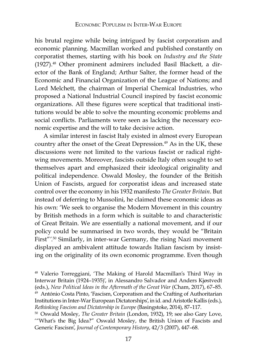his brutal regime while being intrigued by fascist corporatism and economic planning. Macmillan worked and published constantly on corporatist themes, starting with his book on *Industry and the State* (1927).48 Other prominent admirers included Basil Blackett, a director of the Bank of England; Arthur Salter, the former head of the Economic and Financial Organization of the League of Nations; and Lord Melchett, the chairman of Imperial Chemical Industries, who proposed a National Industrial Council inspired by fascist economic organizations. All these figures were sceptical that traditional institutions would be able to solve the mounting economic problems and social conflicts. Parliaments were seen as lacking the necessary economic expertise and the will to take decisive action.

A similar interest in fascist Italy existed in almost every European country after the onset of the Great Depression.<sup>49</sup> As in the UK, these discussions were not limited to the various fascist or radical rightwing movements. Moreover, fascists outside Italy often sought to set themselves apart and emphasized their ideological originality and political independence. Oswald Mosley, the founder of the British Union of Fascists, argued for corporatist ideas and increased state control over the economy in his 1932 manifesto *The Greater Britain*. But instead of deferring to Mussolini, he claimed these economic ideas as his own: 'We seek to organise the Modern Movement in this country by British methods in a form which is suitable to and characteristic of Great Britain. We are essentially a national movement, and if our policy could be summarised in two words, they would be "Britain First"'.50 Similarly, in inter-war Germany, the rising Nazi movement displayed an ambivalent attitude towards Italian fascism by insisting on the originality of its own economic programme. Even though

<sup>48</sup> Valerio Torreggiani, 'The Making of Harold Macmillan's Third Way in Interwar Britain (1924–1935)', in Alessandro Salvador and Anders Kjøstvedt (eds.), *New Political Ideas in the Aftermath of the Great War* (Cham, 2017), 67–85. 49 António Costa Pinto, 'Fascism, Corporatism and the Crafting of Authoritarian Institutions in Inter-War European Dictatorships', in id. and Aristotle Kallis (eds.), *Rethinking Fascism and Dictatorship in Europe* (Basingstoke, 2014), 87–117.

<sup>50</sup> Oswald Mosley, *The Greater Britain* (London, 1932), 19; see also Gary Love, '"What's the Big Idea?" Oswald Mosley, the British Union of Fascists and Generic Fascism', *Journal of Contemporary History*, 42/3 (2007), 447–68.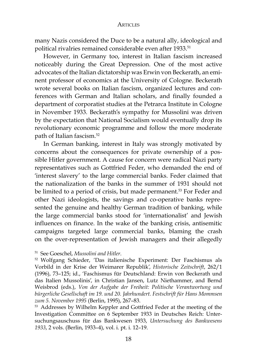many Nazis considered the Duce to be a natural ally, ideological and political rivalries remained considerable even after 1933.51

However, in Germany too, interest in Italian fascism increased noticeably during the Great Depression. One of the most active advocates of the Italian dictatorship was Erwin von Beckerath, an eminent professor of economics at the University of Cologne. Beckerath wrote several books on Italian fascism, organized lectures and conferences with German and Italian scholars, and finally founded a department of corporatist studies at the Petrarca Institute in Cologne in November 1933. Beckerath's sympathy for Mussolini was driven by the expectation that National Socialism would eventually drop its revolutionary economic programme and follow the more moderate path of Italian fascism.52

In German banking, interest in Italy was strongly motivated by concerns about the consequences for private ownership of a possible Hitler government. A cause for concern were radical Nazi party representatives such as Gottfried Feder, who demanded the end of 'interest slavery' to the large commercial banks. Feder claimed that the nationalization of the banks in the summer of 1931 should not be limited to a period of crisis, but made permanent.<sup>53</sup> For Feder and other Nazi ideologists, the savings and co-operative banks represented the genuine and healthy German tradition of banking, while the large commercial banks stood for 'internationalist' and Jewish influences on finance. In the wake of the banking crisis, antisemitic campaigns targeted large commercial banks, blaming the crash on the over-representation of Jewish managers and their allegedly

<sup>51</sup> See Goeschel, *Mussolini and Hitler*.

<sup>52</sup> Wolfgang Schieder, 'Das italienische Experiment: Der Faschismus als Vorbild in der Krise der Weimarer Republik', *Historische Zeitschrift*, 262/1 (1996), 73–125; id., 'Faschismus für Deutschland: Erwin von Beckerath und das Italien Mussolinis', in Christian Jansen, Lutz Niethammer, and Bernd Weisbrod (eds.), *Von der Aufgabe der Freiheit: Politische Verantwortung und bürgerliche Gesellschaft im 19. und 20. Jahrhundert. Festschrift für Hans Mommsen zum 5. November 1995* (Berlin, 1995), 267–83.

<sup>53</sup> Addresses by Wilhelm Keppler and Gottfried Feder at the meeting of the Investigation Committee on 6 September 1933 in Deutsches Reich: Untersuchungsauschuss für das Bankwesen 1933, *Untersuchung des Bankwesens 1933*, 2 vols. (Berlin, 1933–4), vol. i. pt. i. 12–19.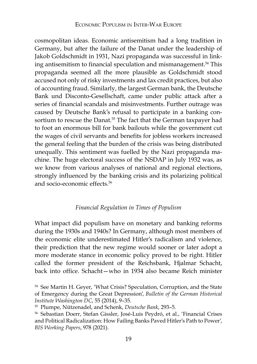cosmopolitan ideas. Economic antisemitism had a long tradition in Germany, but after the failure of the Danat under the leadership of Jakob Goldschmidt in 1931, Nazi propaganda was successful in linking antisemitism to financial speculation and mismanagement.<sup>54</sup> This propaganda seemed all the more plausible as Goldschmidt stood accused not only of risky investments and lax credit practices, but also of accounting fraud. Similarly, the largest German bank, the Deutsche Bank und Disconto-Gesellschaft, came under public attack after a series of financial scandals and misinvestments. Further outrage was caused by Deutsche Bank's refusal to participate in a banking consortium to rescue the Danat.<sup>55</sup> The fact that the German taxpayer had to foot an enormous bill for bank bailouts while the government cut the wages of civil servants and benefits for jobless workers increased the general feeling that the burden of the crisis was being distributed unequally. This sentiment was fuelled by the Nazi propaganda machine. The huge electoral success of the NSDAP in July 1932 was, as we know from various analyses of national and regional elections, strongly influenced by the banking crisis and its polarizing political and socio-economic effects.56

## *Financial Regulation in Times of Populism*

What impact did populism have on monetary and banking reforms during the 1930s and 1940s? In Germany, although most members of the economic elite underestimated Hitler's radicalism and violence, their prediction that the new regime would sooner or later adopt a more moderate stance in economic policy proved to be right. Hitler called the former president of the Reichsbank, Hjalmar Schacht, back into office. Schacht—who in 1934 also became Reich minister

<sup>54</sup> See Martin H. Geyer, 'What Crisis? Speculation, Corruption, and the State of Emergency during the Great Depression', *Bulletin of the German Historical Institute Washington DC*, 55 (2014), 9–35.

<sup>55</sup> Plumpe, Nützenadel, and Schenk, *Deutsche Bank*, 293–5.

<sup>56</sup> Sebastian Doerr, Stefan Gissler, José-Luis Peydró, et al., 'Financial Crises and Political Radicalization: How Failing Banks Paved Hitler's Path to Power', *BIS Working Papers*, 978 (2021).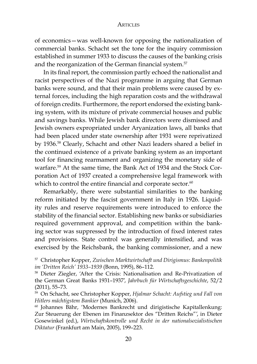of economics—was well-known for opposing the nationalization of commercial banks. Schacht set the tone for the inquiry commission established in summer 1933 to discuss the causes of the banking crisis and the reorganization of the German financial system.<sup>57</sup>

In its final report, the commission partly echoed the nationalist and racist perspectives of the Nazi programme in arguing that German banks were sound, and that their main problems were caused by external forces, including the high reparation costs and the withdrawal of foreign credits. Furthermore, the report endorsed the existing banking system, with its mixture of private commercial houses and public and savings banks. While Jewish bank directors were dismissed and Jewish owners expropriated under Aryanization laws, all banks that had been placed under state ownership after 1931 were reprivatized by 1936.58 Clearly, Schacht and other Nazi leaders shared a belief in the continued existence of a private banking system as an important tool for financing rearmament and organizing the monetary side of warfare.59 At the same time, the Bank Act of 1934 and the Stock Corporation Act of 1937 created a comprehensive legal framework with which to control the entire financial and corporate sector.<sup>60</sup>

Remarkably, there were substantial similarities to the banking reform initiated by the fascist government in Italy in 1926. Liquidity rules and reserve requirements were introduced to enforce the stability of the financial sector. Establishing new banks or subsidiaries required government approval, and competition within the banking sector was suppressed by the introduction of fixed interest rates and provisions. State control was generally intensified, and was exercised by the Reichsbank, the banking commissioner, and a new

<sup>57</sup> Christopher Kopper, *Zwischen Marktwirtschaft und Dirigismus: Bankenpolitik im 'Dritten Reich' 1933–1939* (Bonn, 1995), 86–112.

<sup>58</sup> Dieter Ziegler, 'After the Crisis: Nationalisation and Re-Privatization of the German Great Banks 1931–1937', *Jahrbuch für Wirtschaftsgeschichte*, 52/2 (2011), 55–73.

<sup>59</sup> On Schacht, see Christopher Kopper, *Hjalmar Schacht: Aufstieg und Fall von Hitlers mächtigstem Bankier* (Munich, 2006).

<sup>60</sup> Johannes Bähr, 'Modernes Bankrecht und dirigistische Kapitallenkung: Zur Steuerung der Ebenen im Finanzsektor des "Dritten Reichs"', in Dieter Gosewinkel (ed.), *Wirtschaftskontrolle und Recht in der nationalsozialistischen Diktatur* (Frankfurt am Main, 2005), 199–223.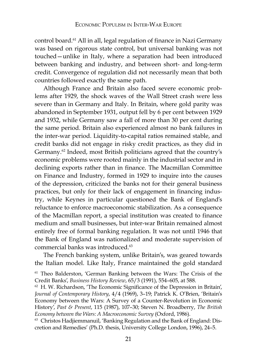control board.<sup>61</sup> All in all, legal regulation of finance in Nazi Germany was based on rigorous state control, but universal banking was not touched—unlike in Italy, where a separation had been introduced between banking and industry, and between short- and long-term credit. Convergence of regulation did not necessarily mean that both countries followed exactly the same path.

Although France and Britain also faced severe economic problems after 1929, the shock waves of the Wall Street crash were less severe than in Germany and Italy. In Britain, where gold parity was abandoned in September 1931, output fell by 6 per cent between 1929 and 1932, while Germany saw a fall of more than 30 per cent during the same period. Britain also experienced almost no bank failures in the inter-war period. Liquidity-to-capital ratios remained stable, and credit banks did not engage in risky credit practices, as they did in Germany.<sup>62</sup> Indeed, most British politicians agreed that the country's economic problems were rooted mainly in the industrial sector and in declining exports rather than in finance. The Macmillan Committee on Finance and Industry, formed in 1929 to inquire into the causes of the depression, criticized the banks not for their general business practices, but only for their lack of engagement in financing industry, while Keynes in particular questioned the Bank of England's reluctance to enforce macroeconomic stabilization. As a consequence of the Macmillan report, a special institution was created to finance medium and small businesses, but inter-war Britain remained almost entirely free of formal banking regulation. It was not until 1946 that the Bank of England was nationalized and moderate supervision of commercial banks was introduced.<sup>63</sup>

The French banking system, unlike Britain's, was geared towards the Italian model. Like Italy, France maintained the gold standard

<sup>61</sup> Theo Balderston, 'German Banking between the Wars: The Crisis of the Credit Banks', *Business History Review*, 65/3 (1991), 554–605, at 588.

<sup>62</sup> H. W. Richardson, 'The Economic Significance of the Depression in Britain', *Journal of Contemporary History*, 4/4 (1969), 3–19; Patrick K. O'Brien, 'Britain's Economy between the Wars: A Survey of a Counter-Revolution in Economic History', *Past & Present*, 115 (1987), 107–30; Steven N. Broadberry, *The British Economy between the Wars: A Macroeconomic Survey* (Oxford, 1986).

<sup>63</sup> Christos Hadjiemmanuil, 'Banking Regulation and the Bank of England: Discretion and Remedies' (Ph.D. thesis, University College London, 1996), 24–5.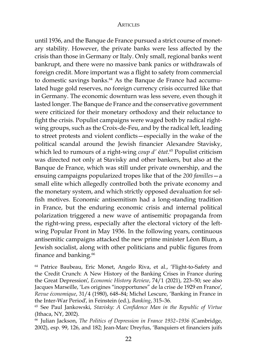until 1936, and the Banque de France pursued a strict course of monetary stability. However, the private banks were less affected by the crisis than those in Germany or Italy. Only small, regional banks went bankrupt, and there were no massive bank panics or withdrawals of foreign credit. More important was a flight to safety from commercial to domestic savings banks.<sup>64</sup> As the Banque de France had accumulated huge gold reserves, no foreign currency crisis occurred like that in Germany. The economic downturn was less severe, even though it lasted longer. The Banque de France and the conservative government were criticized for their monetary orthodoxy and their reluctance to fight the crisis. Populist campaigns were waged both by radical rightwing groups, such as the Croix-de-Feu, and by the radical left, leading to street protests and violent conflicts—especially in the wake of the political scandal around the Jewish financier Alexandre Stavisky, which led to rumours of a right-wing *coup d'* é*tat*. 65 Populist criticism was directed not only at Stavisky and other bankers, but also at the Banque de France, which was still under private ownership, and the ensuing campaigns popularized tropes like that of the *200 familles*—a small elite which allegedly controlled both the private economy and the monetary system, and which strictly opposed devaluation for selfish motives. Economic antisemitism had a long-standing tradition in France, but the enduring economic crisis and internal political polarization triggered a new wave of antisemitic propaganda from the right-wing press, especially after the electoral victory of the leftwing Popular Front in May 1936. In the following years, continuous antisemitic campaigns attacked the new prime minister Léon Blum, a Jewish socialist, along with other politicians and public figures from finance and banking.<sup>66</sup>

<sup>64</sup> Patrice Baubeau, Eric Monet, Angelo Riva, et al., 'Flight-to-Safety and the Credit Crunch: A New History of the Banking Crises in France during the Great Depression', *Economic History Review*, 74/1 (2021), 223–50; see also Jacques Marseille, 'Les origines "inopportunes" de la crise de 1929 en France', *Revue économique*, 31/4 (1980), 648–84; Michel Lescure, 'Banking in France in the Inter-War Period', in Feinstein (ed.), *Banking*, 315–36.

<sup>65</sup> See Paul Jankowski, *Stavisky: A Confidence Man in the Republic of Virtue* (Ithaca, NY, 2002).

<sup>66</sup> Julian Jackson, *The Politics of Depression in France 1932–1936* (Cambridge, 2002), esp. 99, 126, and 182; Jean-Marc Dreyfus, 'Banquiers et financiers juifs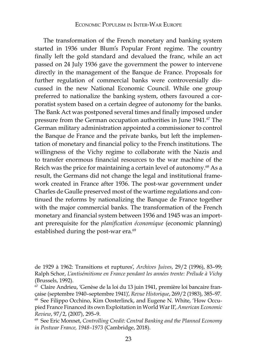The transformation of the French monetary and banking system started in 1936 under Blum's Popular Front regime. The country finally left the gold standard and devalued the franc, while an act passed on 24 July 1936 gave the government the power to intervene directly in the management of the Banque de France. Proposals for further regulation of commercial banks were controversially discussed in the new National Economic Council. While one group preferred to nationalize the banking system, others favoured a corporatist system based on a certain degree of autonomy for the banks. The Bank Act was postponed several times and finally imposed under pressure from the German occupation authorities in June 1941.<sup>67</sup> The German military administration appointed a commissioner to control the Banque de France and the private banks, but left the implementation of monetary and financial policy to the French institutions. The willingness of the Vichy regime to collaborate with the Nazis and to transfer enormous financial resources to the war machine of the Reich was the price for maintaining a certain level of autonomy.<sup>68</sup> As a result, the Germans did not change the legal and institutional framework created in France after 1936. The post-war government under Charles de Gaulle preserved most of the wartime regulations and continued the reforms by nationalizing the Banque de France together with the major commercial banks. The transformation of the French monetary and financial system between 1936 and 1945 was an important prerequisite for the *planification économique* (economic planning) established during the post-war era.<sup>69</sup>

de 1929 à 1962: Transitions et ruptures', *Archives Juives*, 29/2 (1996), 83–99; Ralph Schor, *L'antisémitisme en France pendant les années trente: Prélude à Vichy* (Brussels, 1992).

<sup>67</sup> Claire Andrieu, 'Genèse de la loi du 13 juin 1941, première loi bancaire française (septembre 1940–septembre 1941)', *Revue Historique*, 269/2 (1983), 385–97. <sup>68</sup> See Filippo Occhino, Kim Oosterlinck, and Eugene N. White, 'How Occupied France Financed its own Exploitation in World War II', *American Economic* 

*Review, 97/2, (2007), 295–9.*<br><sup>69</sup> See Eric Monnet, *Controlling Credit: Central Banking and the Planned Economy in Postwar France, 1948–1973* (Cambridge, 2018).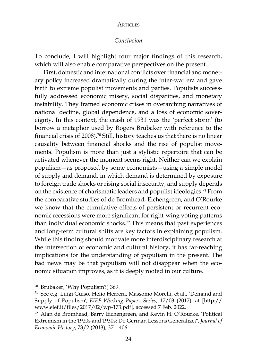### *Conclusion*

To conclude, I will highlight four major findings of this research, which will also enable comparative perspectives on the present.

First, domestic and international conflicts over financial and monetary policy increased dramatically during the inter-war era and gave birth to extreme populist movements and parties. Populists successfully addressed economic misery, social disparities, and monetary instability. They framed economic crises in overarching narratives of national decline, global dependence, and a loss of economic sovereignty. In this context, the crash of 1931 was the 'perfect storm' (to borrow a metaphor used by Rogers Brubaker with reference to the financial crisis of 2008).70 Still, history teaches us that there is no linear causality between financial shocks and the rise of populist movements. Populism is more than just a stylistic repertoire that can be activated whenever the moment seems right. Neither can we explain populism—as proposed by some economists—using a simple model of supply and demand, in which demand is determined by exposure to foreign trade shocks or rising social insecurity, and supply depends on the existence of charismatic leaders and populist ideologies.71 From the comparative studies of de Bromhead, Eichengreen, and O'Rourke we know that the cumulative effects of persistent or recurrent economic recessions were more significant for right-wing voting patterns than individual economic shocks.72 This means that past experiences and long-term cultural shifts are key factors in explaining populism. While this finding should motivate more interdisciplinary research at the intersection of economic and cultural history, it has far-reaching implications for the understanding of populism in the present. The bad news may be that populism will not disappear when the economic situation improves, as it is deeply rooted in our culture.

<sup>70</sup> Brubaker, 'Why Populism?', 369.

<sup>71</sup> See e.g. Luigi Guiso, Helio Herrera, Massomo Morelli, et al., 'Demand and Supply of Populism', *EIEF Working Papers Series*, 17/03 (2017), at [http:// www.eief.it/files/2017/02/wp-173.pdf], accessed 7 Feb. 2022.

<sup>72</sup> Alan de Bromhead, Barry Eichengreen, and Kevin H. O'Rourke, 'Political Extremism in the 1920s and 1930s: Do German Lessons Generalize?', *Journal of Economic History*, 73/2 (2013), 371–406.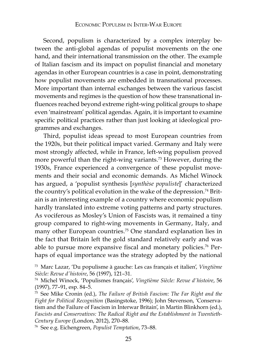Second, populism is characterized by a complex interplay between the anti-global agendas of populist movements on the one hand, and their international transmission on the other. The example of Italian fascism and its impact on populist financial and monetary agendas in other European countries is a case in point, demonstrating how populist movements are embedded in transnational processes. More important than internal exchanges between the various fascist movements and regimes is the question of how these transnational influences reached beyond extreme right-wing political groups to shape even 'mainstream' political agendas. Again, it is important to examine specific political practices rather than just looking at ideological programmes and exchanges.

Third, populist ideas spread to most European countries from the 1920s, but their political impact varied. Germany and Italy were most strongly affected, while in France, left-wing populism proved more powerful than the right-wing variants.73 However, during the 1930s, France experienced a convergence of these populist movements and their social and economic demands. As Michel Winock has argued, a 'populist synthesis [*synthèse populiste*]' characterized the country's political evolution in the wake of the depression.74 Britain is an interesting example of a country where economic populism hardly translated into extreme voting patterns and party structures. As vociferous as Mosley's Union of Fascists was, it remained a tiny group compared to right-wing movements in Germany, Italy, and many other European countries.75 One standard explanation lies in the fact that Britain left the gold standard relatively early and was able to pursue more expansive fiscal and monetary policies.<sup>76</sup> Perhaps of equal importance was the strategy adopted by the national

<sup>73</sup> Marc Lazar, 'Du populisme à gauche: Les cas français et italien', *Vingtième Siècle: Revue d'histoire*, 56 (1997), 121–31.

<sup>74</sup> Michel Winock, 'Populismes français', *Vingtième Siècle: Revue d'histoire*, 56 (1997), 77–91, esp. 84–5.

<sup>75</sup> See Mike Cronin (ed.), *The Failure of British Fascism: The Far Right and the Fight for Political Recognition* (Basingstoke, 1996); John Stevenson, 'Conservatism and the Failure of Fascism in Interwar Britain', in Martin Blinkhorn (ed.), *Fascists and Conservatives: The Radical Right and the Establishment in Twentieth-Century Europe* (London, 2012), 270–88.

<sup>76</sup> See e.g. Eichengreen, *Populist Temptation*, 73–88.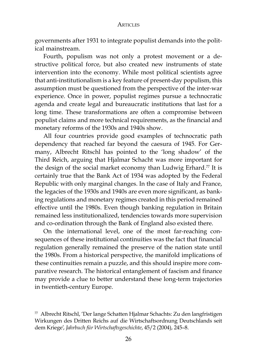governments after 1931 to integrate populist demands into the political mainstream.

Fourth, populism was not only a protest movement or a destructive political force, but also created new instruments of state intervention into the economy. While most political scientists agree that anti-institutionalism is a key feature of present-day populism, this assumption must be questioned from the perspective of the inter-war experience. Once in power, populist regimes pursue a technocratic agenda and create legal and bureaucratic institutions that last for a long time. These transformations are often a compromise between populist claims and more technical requirements, as the financial and monetary reforms of the 1930s and 1940s show.

All four countries provide good examples of technocratic path dependency that reached far beyond the caesura of 1945. For Germany, Albrecht Ritschl has pointed to the 'long shadow' of the Third Reich, arguing that Hjalmar Schacht was more important for the design of the social market economy than Ludwig Erhard.<sup>77</sup> It is certainly true that the Bank Act of 1934 was adopted by the Federal Republic with only marginal changes. In the case of Italy and France, the legacies of the 1930s and 1940s are even more significant, as banking regulations and monetary regimes created in this period remained effective until the 1980s. Even though banking regulation in Britain remained less institutionalized, tendencies towards more supervision and co-ordination through the Bank of England also existed there.

On the international level, one of the most far-reaching consequences of these institutional continuities was the fact that financial regulation generally remained the preserve of the nation state until the 1980s. From a historical perspective, the manifold implications of these continuities remain a puzzle, and this should inspire more comparative research. The historical entanglement of fascism and finance may provide a clue to better understand these long-term trajectories in twentieth-century Europe.

<sup>77</sup> Albrecht Ritschl, 'Der lange Schatten Hjalmar Schachts: Zu den langfristigen Wirkungen des Dritten Reichs auf die Wirtschaftsordnung Deutschlands seit dem Kriege', *Jahrbuch für Wirtschaftsgeschichte*, 45/2 (2004), 245–8.